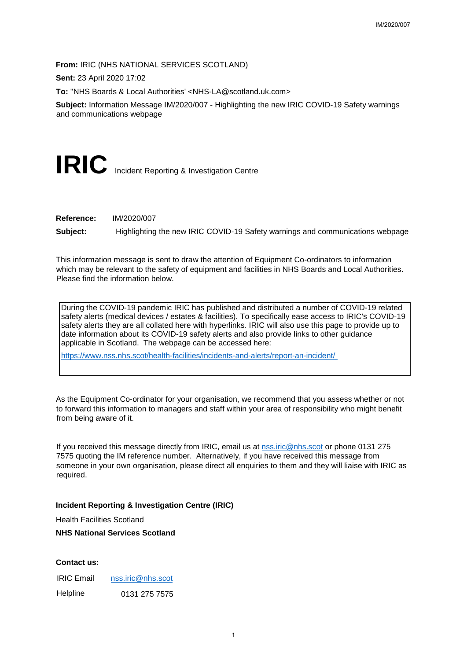**From:** IRIC (NHS NATIONAL SERVICES SCOTLAND)

**Sent:** 23 April 2020 17:02

**To:** ''NHS Boards & Local Authorities' <NHS-LA@scotland.uk.com>

**Subject:** Information Message IM/2020/007 - Highlighting the new IRIC COVID-19 Safety warnings and communications webpage

# **IRIC** Incident Reporting & Investigation Centre

**Reference:** IM/2020/007

**Subject:** Highlighting the new IRIC COVID-19 Safety warnings and communications webpage

This information message is sent to draw the attention of Equipment Co-ordinators to information which may be relevant to the safety of equipment and facilities in NHS Boards and Local Authorities. Please find the information below.

During the COVID-19 pandemic IRIC has published and distributed a number of COVID-19 related safety alerts (medical devices / estates & facilities). To specifically ease access to IRIC's COVID-19 safety alerts they are all collated here with hyperlinks. IRIC will also use this page to provide up to date information about its COVID-19 safety alerts and also provide links to other guidance applicable in Scotland. The webpage can be accessed here: IM/2020/007<br>IMMD)<br>Scotland Juk.com><br>Ilighting the new IRIC COVID-19 Safety warnings<br>1-9 Safety warnings and communications webpage<br>tion of Equipment Co-ordinators to information<br>and facilities in NHS Boards and Local Autho

<https://www.nss.nhs.scot/health-facilities/incidents-and-alerts/report-an-incident/>

As the Equipment Co-ordinator for your organisation, we recommend that you assess whether or not to forward this information to managers and staff within your area of responsibility who might benefit from being aware of it.

If you received this message directly from IRIC, email us at nss.iric@nhs.scot or phone 0131 275 7575 quoting the IM reference number. Alternatively, if you have received this message from someone in your own organisation, please direct all enquiries to them and they will liaise with IRIC as required.

## **Incident Reporting & Investigation Centre (IRIC)**

Health Facilities Scotland

#### **NHS National Services Scotland**

## **Contact us:**

IRIC Email [nss.iric@nhs.scot](mailto:nss.iric@nhs.scot) Helpline 0131 275 7575